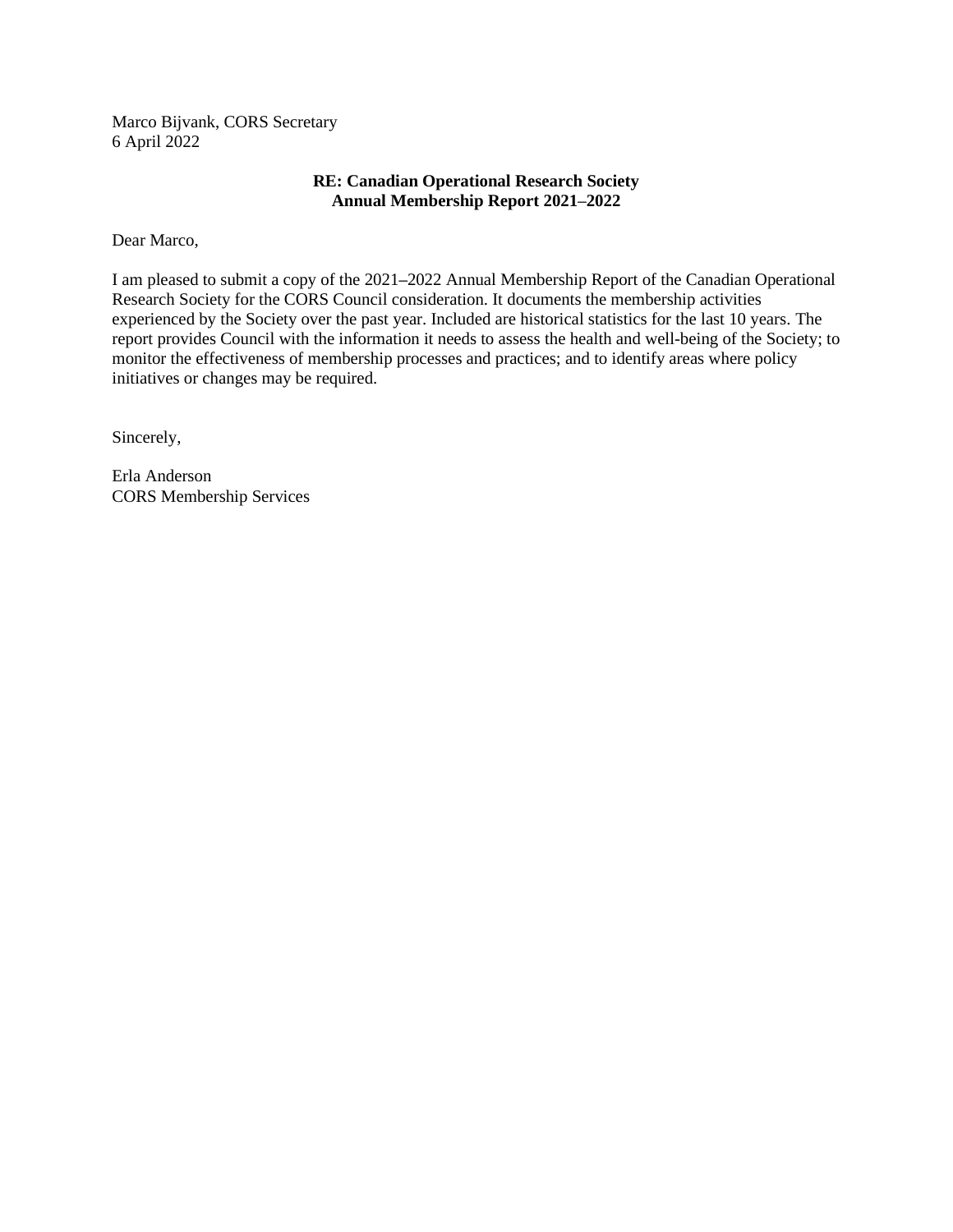Marco Bijvank, CORS Secretary 6 April 2022

# **RE: Canadian Operational Research Society Annual Membership Report 2021–2022**

Dear Marco,

I am pleased to submit a copy of the 2021**–**2022 Annual Membership Report of the Canadian Operational Research Society for the CORS Council consideration. It documents the membership activities experienced by the Society over the past year. Included are historical statistics for the last 10 years. The report provides Council with the information it needs to assess the health and well-being of the Society; to monitor the effectiveness of membership processes and practices; and to identify areas where policy initiatives or changes may be required.

Sincerely,

Erla Anderson CORS Membership Services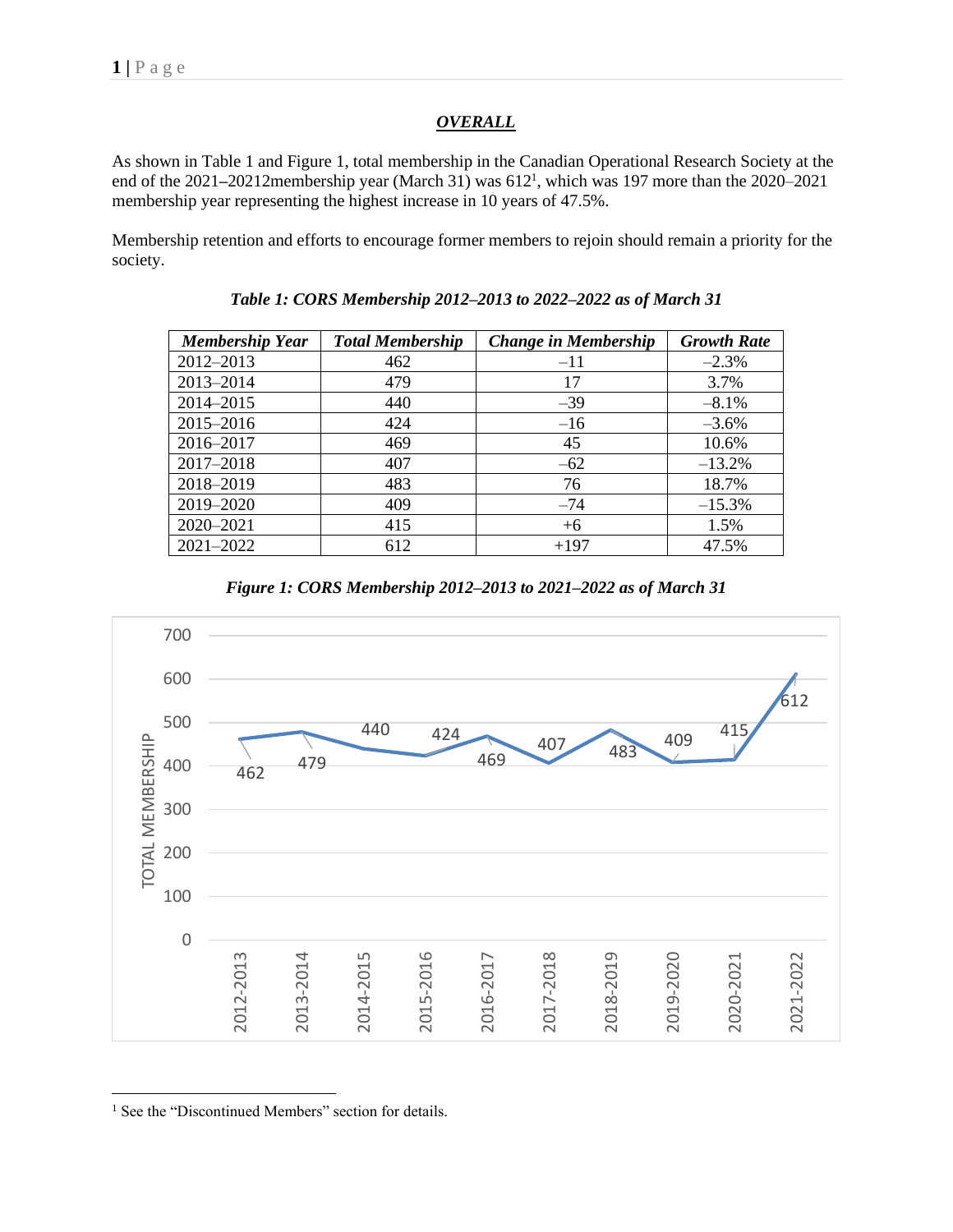# *OVERALL*

As shown in Table 1 and Figure 1, total membership in the Canadian Operational Research Society at the end of the 2021–20212membership year (March 31) was 612<sup>1</sup>, which was 197 more than the 2020–2021 membership year representing the highest increase in 10 years of 47.5%.

Membership retention and efforts to encourage former members to rejoin should remain a priority for the society.

| <b>Membership Year</b> | <b>Total Membership</b> | <b>Change in Membership</b> | <b>Growth Rate</b> |
|------------------------|-------------------------|-----------------------------|--------------------|
| 2012-2013              | 462                     | $-11$                       | $-2.3%$            |
| 2013-2014              | 479                     | 17                          | 3.7%               |
| 2014-2015              | 440                     | $-39$                       | $-8.1\%$           |
| 2015-2016              | 424                     | $-16$                       | $-3.6%$            |
| 2016-2017              | 469                     | 45                          | 10.6%              |
| 2017-2018              | 407                     | $-62$                       | $-13.2%$           |
| 2018-2019              | 483                     | 76                          | 18.7%              |
| 2019-2020              | 409                     | $-74$                       | $-15.3%$           |
| 2020-2021              | 415                     | $+6$                        | 1.5%               |
| 2021-2022              | 612                     | $+197$                      | 47.5%              |

*Table 1: CORS Membership 2012–2013 to 2022–2022 as of March 31*

*Figure 1: CORS Membership 2012–2013 to 2021–2022 as of March 31*



<sup>1</sup> See the "Discontinued Members" section for details.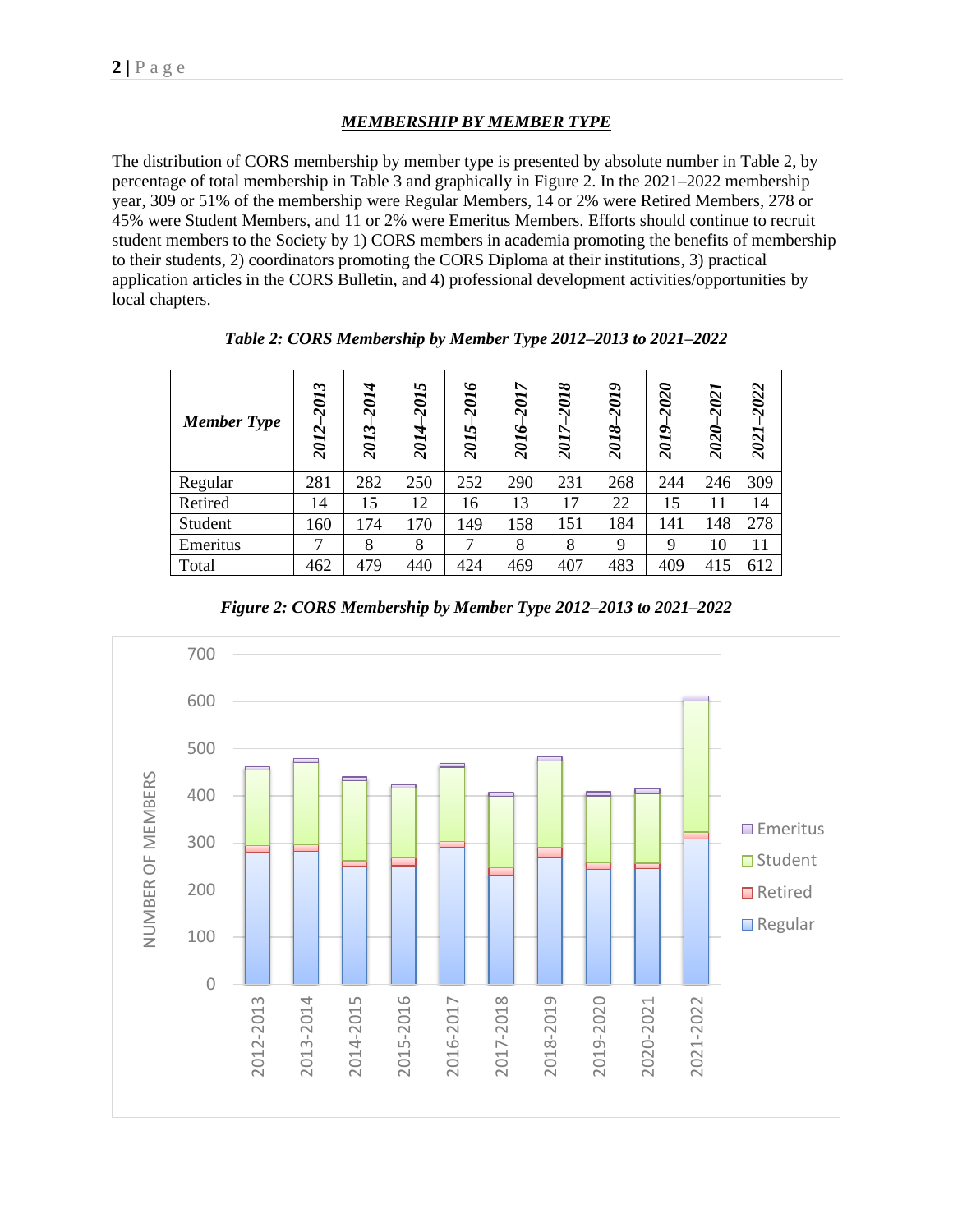# *MEMBERSHIP BY MEMBER TYPE*

The distribution of CORS membership by member type is presented by absolute number in Table 2, by percentage of total membership in Table 3 and graphically in Figure 2. In the 2021–2022 membership year, 309 or 51% of the membership were Regular Members, 14 or 2% were Retired Members, 278 or 45% were Student Members, and 11 or 2% were Emeritus Members. Efforts should continue to recruit student members to the Society by 1) CORS members in academia promoting the benefits of membership to their students, 2) coordinators promoting the CORS Diploma at their institutions, 3) practical application articles in the CORS Bulletin, and 4) professional development activities/opportunities by local chapters.

| <b>Member Type</b> | 2013<br>2012- | 2014<br>$\dot{\phantom{1}}$<br>201. | 2015<br>2014 | 2016<br>2015 | 2017<br>2016- | 2018<br>↖<br><b>201</b> | 2019<br>2018 | 2020<br>2019. | 2021<br>2020- | $-2022$<br>2021 |
|--------------------|---------------|-------------------------------------|--------------|--------------|---------------|-------------------------|--------------|---------------|---------------|-----------------|
| Regular            | 281           | 282                                 | 250          | 252          | 290           | 231                     | 268          | 244           | 246           | 309             |
| Retired            | 14            | 15                                  | 12           | 16           | 13            | 17                      | 22           | 15            | 11            | 14              |
| Student            | 160           | 174                                 | 170          | 149          | 158           | 151                     | 184          | 141           | 148           | 278             |
| Emeritus           | 7             | 8                                   | 8            | 7            | 8             | 8                       | 9            | 9             | 10            | 11              |
| Total              | 462           | 479                                 | 440          | 424          | 469           | 407                     | 483          | 409           | 415           | 612             |

*Table 2: CORS Membership by Member Type 2012–2013 to 2021***–***2022*



*Figure 2: CORS Membership by Member Type 2012–2013 to 2021***–***2022*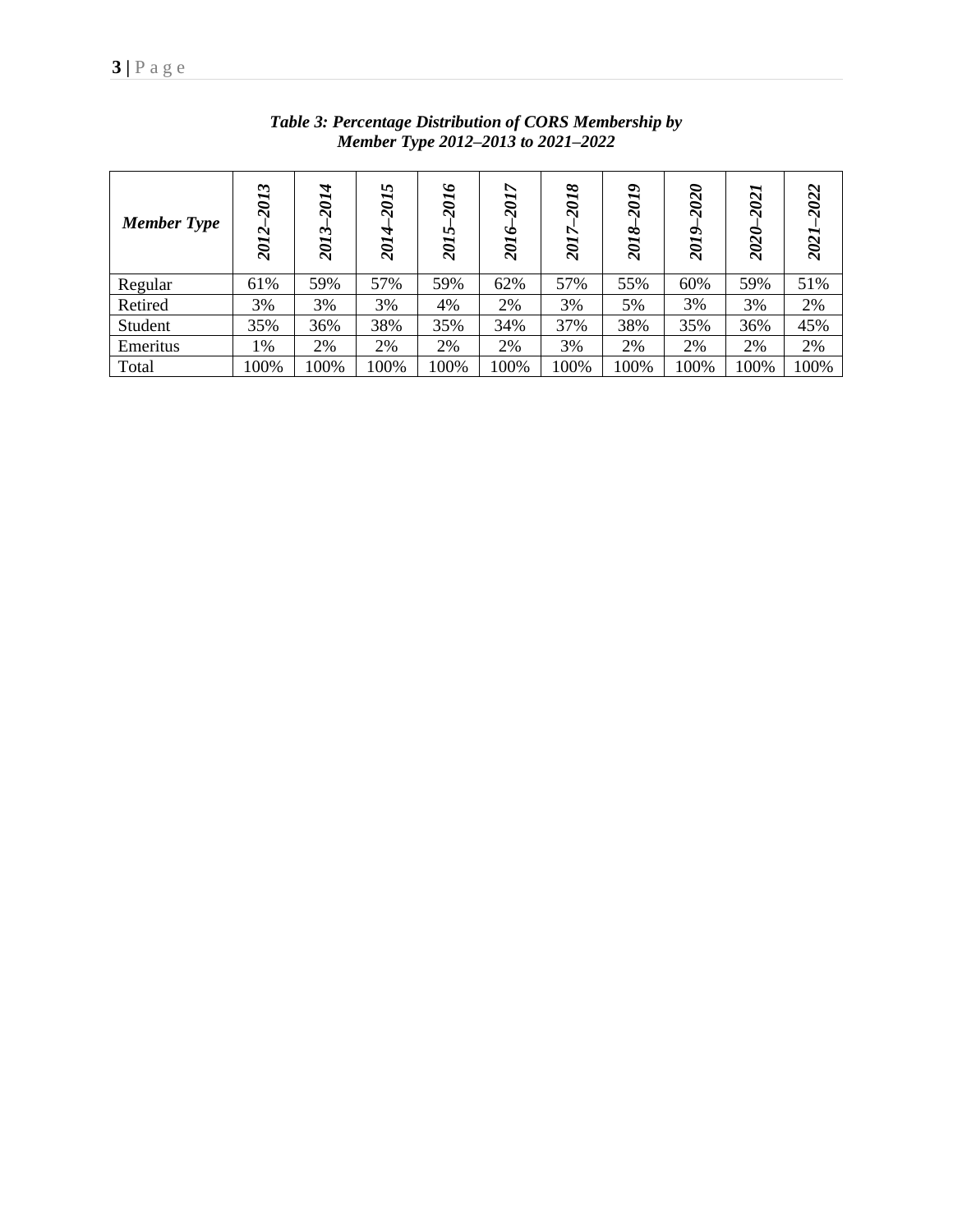| <b>Member Type</b> | $\sim$<br><b>201</b><br>2012 | 2014<br>2013 | 5<br><b>107</b><br>2014 | $\bullet$<br><b>201</b><br>n<br>201. | ↖<br>201<br>2016 | ∞<br>$\vec{v}$<br><b>Z01</b> | ৽<br><b>107</b><br>◇<br>201 | 2020<br>2019 | ∼<br>202<br>2020 | $\sim$<br>202.<br>2021 |
|--------------------|------------------------------|--------------|-------------------------|--------------------------------------|------------------|------------------------------|-----------------------------|--------------|------------------|------------------------|
| Regular            | 61%                          | 59%          | 57%                     | 59%                                  | 62%              | 57%                          | 55%                         | 60%          | 59%              | 51%                    |
| Retired            | 3%                           | 3%           | 3%                      | 4%                                   | 2%               | 3%                           | 5%                          | 3%           | 3%               | 2%                     |
| Student            | 35%                          | 36%          | 38%                     | 35%                                  | 34%              | 37%                          | 38%                         | 35%          | 36%              | 45%                    |
| Emeritus           | 1%                           | 2%           | 2%                      | 2%                                   | 2%               | 3%                           | 2%                          | 2%           | 2%               | 2%                     |
| Total              | 100%                         | 100%         | 100%                    | 100%                                 | 100%             | 100%                         | 100%                        | 100%         | 100%             | 100%                   |

*Table 3: Percentage Distribution of CORS Membership by Member Type 2012–2013 to 2021***–***2022*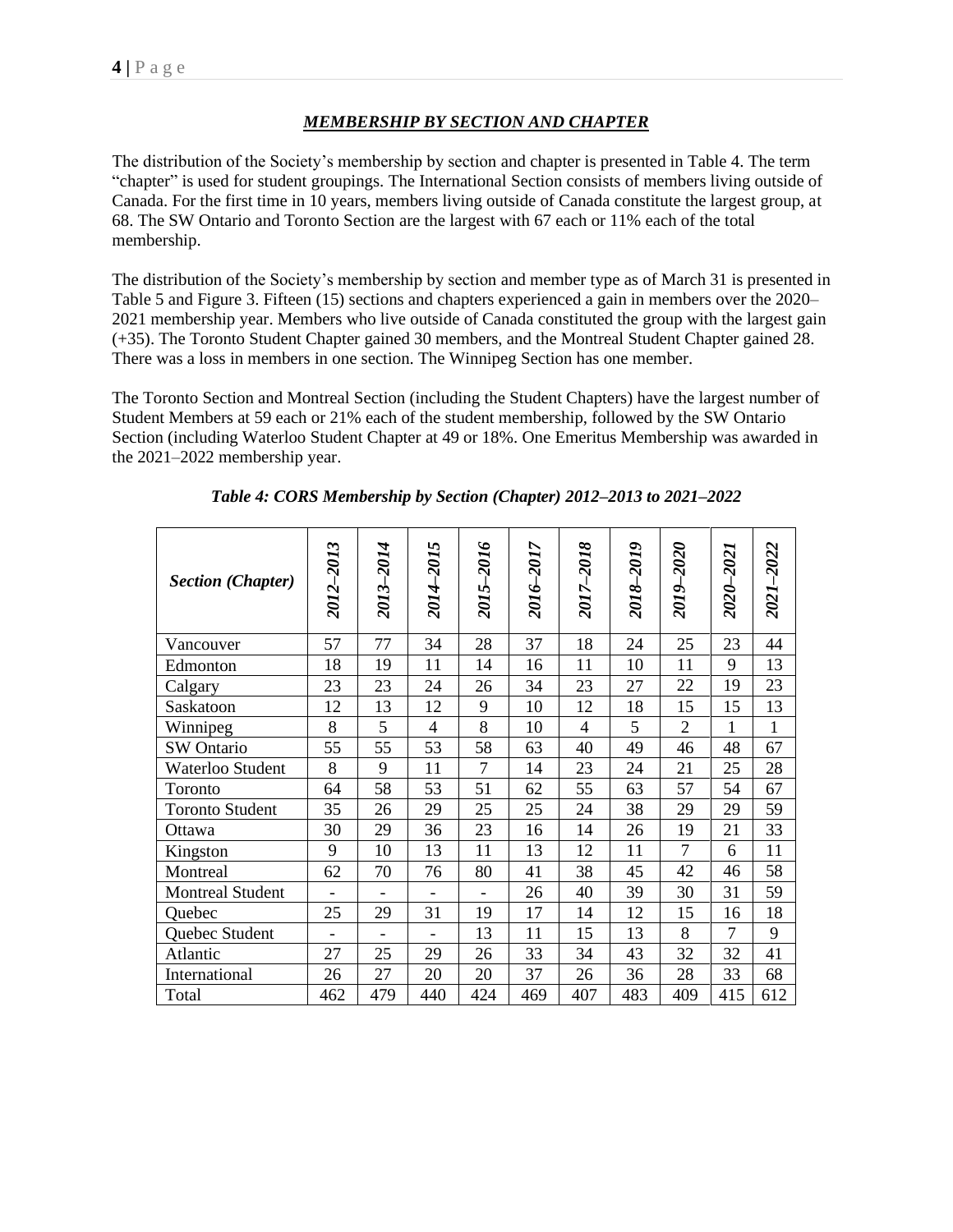#### *MEMBERSHIP BY SECTION AND CHAPTER*

The distribution of the Society's membership by section and chapter is presented in Table 4. The term "chapter" is used for student groupings. The International Section consists of members living outside of Canada. For the first time in 10 years, members living outside of Canada constitute the largest group, at 68. The SW Ontario and Toronto Section are the largest with 67 each or 11% each of the total membership.

The distribution of the Society's membership by section and member type as of March 31 is presented in Table 5 and Figure 3. Fifteen (15) sections and chapters experienced a gain in members over the 2020– 2021 membership year. Members who live outside of Canada constituted the group with the largest gain (+35). The Toronto Student Chapter gained 30 members, and the Montreal Student Chapter gained 28. There was a loss in members in one section. The Winnipeg Section has one member.

The Toronto Section and Montreal Section (including the Student Chapters) have the largest number of Student Members at 59 each or 21% each of the student membership, followed by the SW Ontario Section (including Waterloo Student Chapter at 49 or 18%. One Emeritus Membership was awarded in the 2021–2022 membership year.

| <b>Section (Chapter)</b> | 2012–2013 | 2013-2014      | 5<br>2014-201  | 2015-2016                | 2016–2017 | 2017-2018      | 2018-2019 | 2019–2020      | 2020-202 | 2021-2022    |
|--------------------------|-----------|----------------|----------------|--------------------------|-----------|----------------|-----------|----------------|----------|--------------|
| Vancouver                | 57        | 77             | 34             | 28                       | 37        | 18             | 24        | 25             | 23       | 44           |
| Edmonton                 | 18        | 19             | 11             | 14                       | 16        | 11             | 10        | 11             | 9        | 13           |
| Calgary                  | 23        | 23             | 24             | 26                       | 34        | 23             | 27        | 22             | 19       | 23           |
| Saskatoon                | 12        | 13             | 12             | 9                        | 10        | 12             | 18        | 15             | 15       | 13           |
| Winnipeg                 | 8         | 5              | $\overline{4}$ | 8                        | 10        | $\overline{4}$ | 5         | $\overline{2}$ | 1        | $\mathbf{1}$ |
| SW Ontario               | 55        | 55             | 53             | 58                       | 63        | 40             | 49        | 46             | 48       | 67           |
| Waterloo Student         | 8         | 9              | 11             | $\tau$                   | 14        | 23             | 24        | 21             | 25       | 28           |
| Toronto                  | 64        | 58             | 53             | 51                       | 62        | 55             | 63        | 57             | 54       | 67           |
| <b>Toronto Student</b>   | 35        | 26             | 29             | 25                       | 25        | 24             | 38        | 29             | 29       | 59           |
| Ottawa                   | 30        | 29             | 36             | 23                       | 16        | 14             | 26        | 19             | 21       | 33           |
| Kingston                 | 9         | 10             | 13             | 11                       | 13        | 12             | 11        | $\overline{7}$ | 6        | 11           |
| Montreal                 | 62        | 70             | 76             | 80                       | 41        | 38             | 45        | 42             | 46       | 58           |
| <b>Montreal Student</b>  |           |                |                | $\overline{\phantom{a}}$ | 26        | 40             | 39        | 30             | 31       | 59           |
| Quebec                   | 25        | 29             | 31             | 19                       | 17        | 14             | 12        | 15             | 16       | 18           |
| Quebec Student           |           | $\overline{a}$ |                | 13                       | 11        | 15             | 13        | 8              | $\tau$   | 9            |
| Atlantic                 | 27        | 25             | 29             | 26                       | 33        | 34             | 43        | 32             | 32       | 41           |
| International            | 26        | 27             | 20             | 20                       | 37        | 26             | 36        | 28             | 33       | 68           |
| Total                    | 462       | 479            | 440            | 424                      | 469       | 407            | 483       | 409            | 415      | 612          |

|  | Table 4: CORS Membership by Section (Chapter) 2012-2013 to 2021-2022 |  |  |  |  |
|--|----------------------------------------------------------------------|--|--|--|--|
|  |                                                                      |  |  |  |  |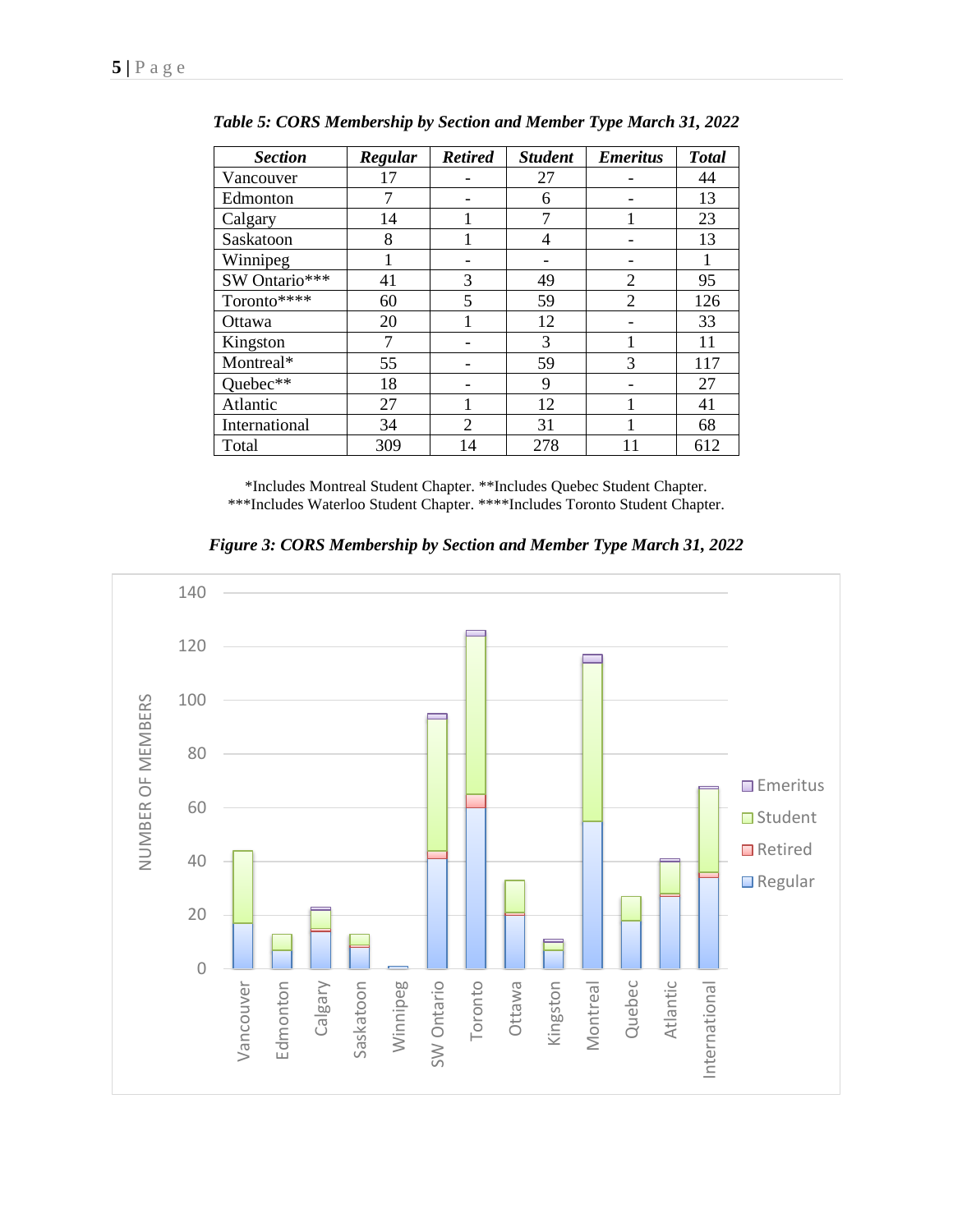| <b>Section</b> | Regular | <b>Retired</b> | <b>Student</b> | <b>Emeritus</b> | <b>Total</b> |
|----------------|---------|----------------|----------------|-----------------|--------------|
| Vancouver      | 17      |                | 27             |                 | 44           |
| Edmonton       | 7       |                | 6              |                 | 13           |
| Calgary        | 14      |                |                |                 | 23           |
| Saskatoon      | 8       |                | 4              |                 | 13           |
| Winnipeg       |         |                |                |                 | 1            |
| SW Ontario***  | 41      | 3              | 49             | $\overline{2}$  | 95           |
| Toronto****    | 60      | 5              | 59             | $\overline{2}$  | 126          |
| Ottawa         | 20      |                | 12             |                 | 33           |
| Kingston       |         |                | 3              |                 | 11           |
| Montreal*      | 55      |                | 59             | 3               | 117          |
| Quebec**       | 18      |                | 9              |                 | 27           |
| Atlantic       | 27      |                | 12             |                 | 41           |
| International  | 34      | $\overline{2}$ | 31             |                 | 68           |
| Total          | 309     | 14             | 278            | 11              | 612          |

*Table 5: CORS Membership by Section and Member Type March 31, 2022*

\*Includes Montreal Student Chapter. \*\*Includes Quebec Student Chapter. \*\*\*Includes Waterloo Student Chapter. \*\*\*\*Includes Toronto Student Chapter.

*Figure 3: CORS Membership by Section and Member Type March 31, 2022*

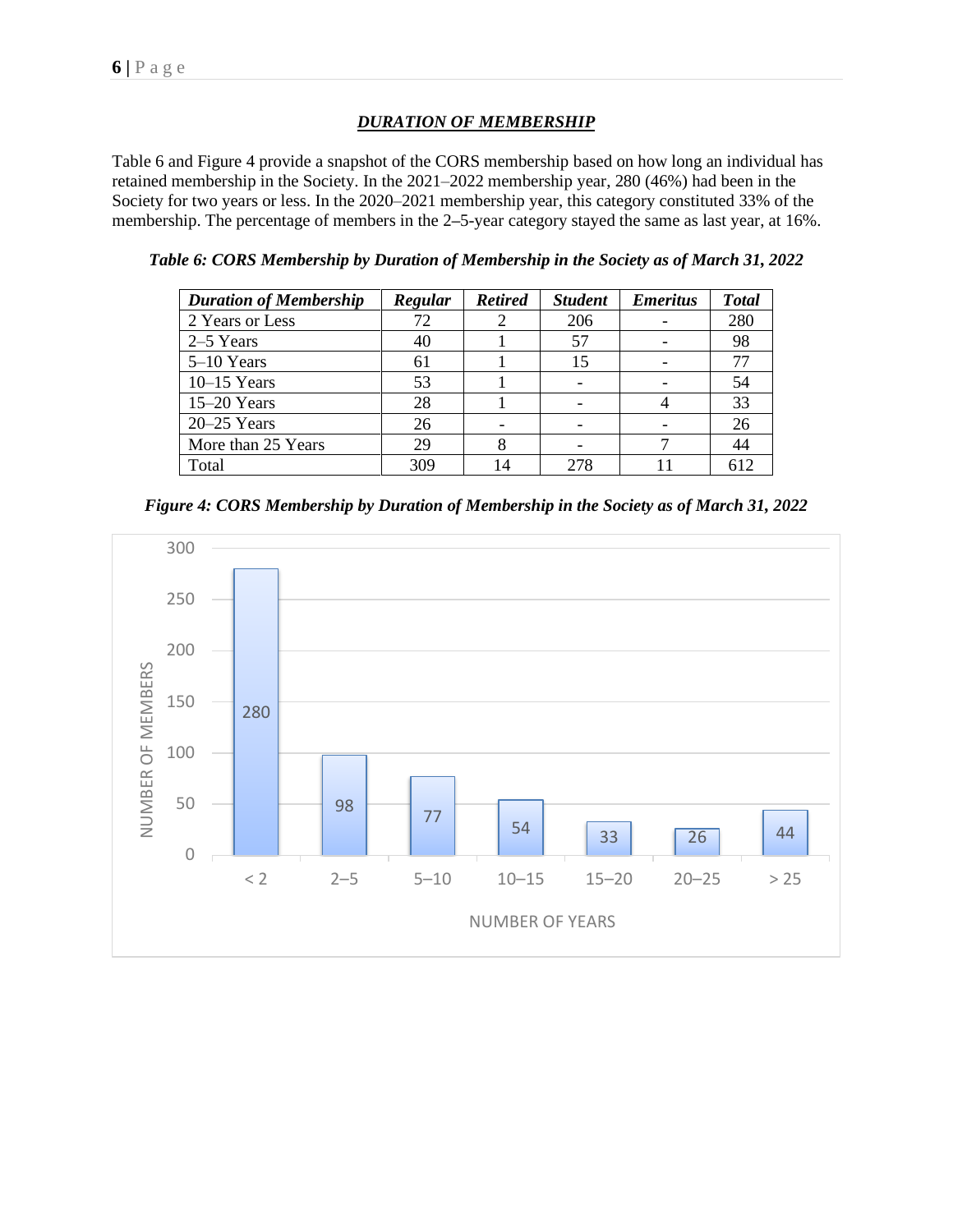# *DURATION OF MEMBERSHIP*

Table 6 and Figure 4 provide a snapshot of the CORS membership based on how long an individual has retained membership in the Society. In the 2021–2022 membership year, 280 (46%) had been in the Society for two years or less. In the 2020–2021 membership year, this category constituted 33% of the membership. The percentage of members in the 2**–**5-year category stayed the same as last year, at 16%.

*Table 6: CORS Membership by Duration of Membership in the Society as of March 31, 2022*

| <b>Duration of Membership</b> | Regular | <b>Retired</b> | <b>Student</b> | <b>Emeritus</b> | <b>Total</b> |
|-------------------------------|---------|----------------|----------------|-----------------|--------------|
| 2 Years or Less               | 72      |                | 206            |                 | 280          |
| $2-5$ Years                   | 40      |                | 57             |                 | 98           |
| $5-10$ Years                  | 61      |                | 15             |                 |              |
| $10-15$ Years                 | 53      |                |                |                 | 54           |
| $15-20$ Years                 | 28      |                |                |                 | 33           |
| $20 - 25$ Years               | 26      |                |                |                 | 26           |
| More than 25 Years            | 29      |                |                |                 | 44           |
| Total                         | 309     | 14             | 278            |                 | 612          |

*Figure 4: CORS Membership by Duration of Membership in the Society as of March 31, 2022*

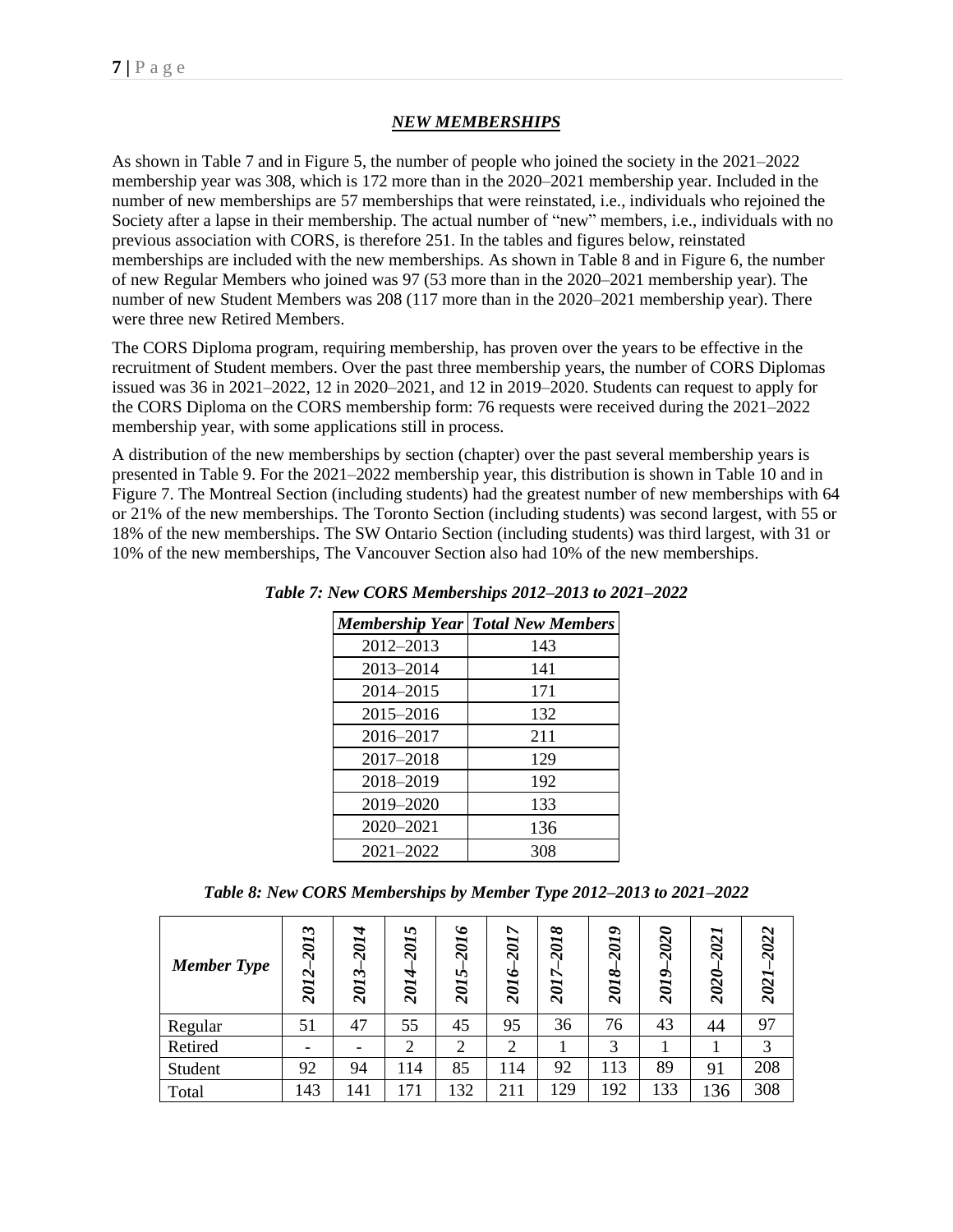# *NEW MEMBERSHIPS*

As shown in Table 7 and in Figure 5, the number of people who joined the society in the 2021–2022 membership year was 308, which is 172 more than in the 2020–2021 membership year. Included in the number of new memberships are 57 memberships that were reinstated, i.e., individuals who rejoined the Society after a lapse in their membership. The actual number of "new" members, i.e., individuals with no previous association with CORS, is therefore 251. In the tables and figures below, reinstated memberships are included with the new memberships. As shown in Table 8 and in Figure 6, the number of new Regular Members who joined was 97 (53 more than in the 2020–2021 membership year). The number of new Student Members was 208 (117 more than in the 2020–2021 membership year). There were three new Retired Members.

The CORS Diploma program, requiring membership, has proven over the years to be effective in the recruitment of Student members. Over the past three membership years, the number of CORS Diplomas issued was 36 in 2021–2022, 12 in 2020–2021, and 12 in 2019–2020. Students can request to apply for the CORS Diploma on the CORS membership form: 76 requests were received during the 2021–2022 membership year, with some applications still in process.

A distribution of the new memberships by section (chapter) over the past several membership years is presented in Table 9. For the 2021–2022 membership year, this distribution is shown in Table 10 and in Figure 7. The Montreal Section (including students) had the greatest number of new memberships with 64 or 21% of the new memberships. The Toronto Section (including students) was second largest, with 55 or 18% of the new memberships. The SW Ontario Section (including students) was third largest, with 31 or 10% of the new memberships, The Vancouver Section also had 10% of the new memberships.

|               | <b>Membership Year Total New Members</b> |
|---------------|------------------------------------------|
| 2012-2013     | 143                                      |
| 2013-2014     | 141                                      |
| 2014–2015     | 171                                      |
| 2015-2016     | 132                                      |
| 2016–2017     | 211                                      |
| $2017 - 2018$ | 129                                      |
| 2018-2019     | 192                                      |
| 2019-2020     | 133                                      |
| 2020-2021     | 136                                      |
| 2021-2022     | 308                                      |

*Table 7: New CORS Memberships 2012–2013 to 2021–2022*

*Table 8: New CORS Memberships by Member Type 2012–2013 to 2021–2022*

| <b>Member Type</b> | $\boldsymbol{\omega}$<br><b>107</b><br>2012 | A<br>201<br>$\dot{\phantom{1}}$<br>201. | ৸<br><b>107</b><br>2014 | $\check{\phantom{0}}$<br>201<br>2015 | ↖<br><b>107</b><br>2016 | 2018<br>2017 | 2019<br>2018 | 2020<br>2019 | ∼<br>202<br>2020- | 2022<br>2021 |
|--------------------|---------------------------------------------|-----------------------------------------|-------------------------|--------------------------------------|-------------------------|--------------|--------------|--------------|-------------------|--------------|
| Regular            | 51                                          | 47                                      | 55                      | 45                                   | 95                      | 36           | 76           | 43           | 44                | 97           |
| Retired            |                                             |                                         | ◠                       | ◠                                    | $\overline{2}$          |              | 3            |              |                   | 3            |
| Student            | 92                                          | 94                                      | 114                     | 85                                   | 114                     | 92           | 113          | 89           | 91                | 208          |
| Total              | 143                                         | 141                                     |                         | 132                                  | 211                     | 129          | 192          | 133          | 36                | 308          |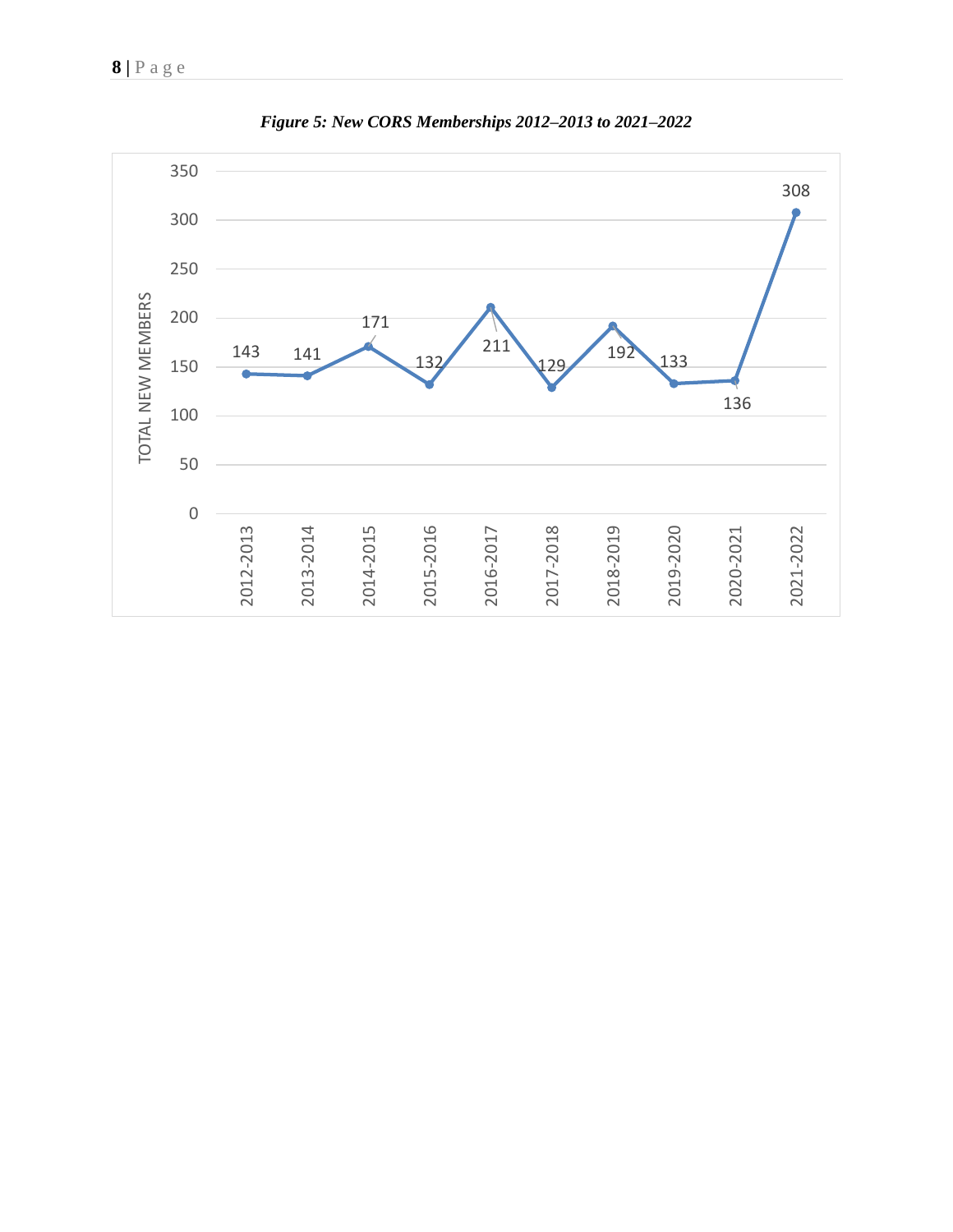

*Figure 5: New CORS Memberships 2012–2013 to 2021–2022*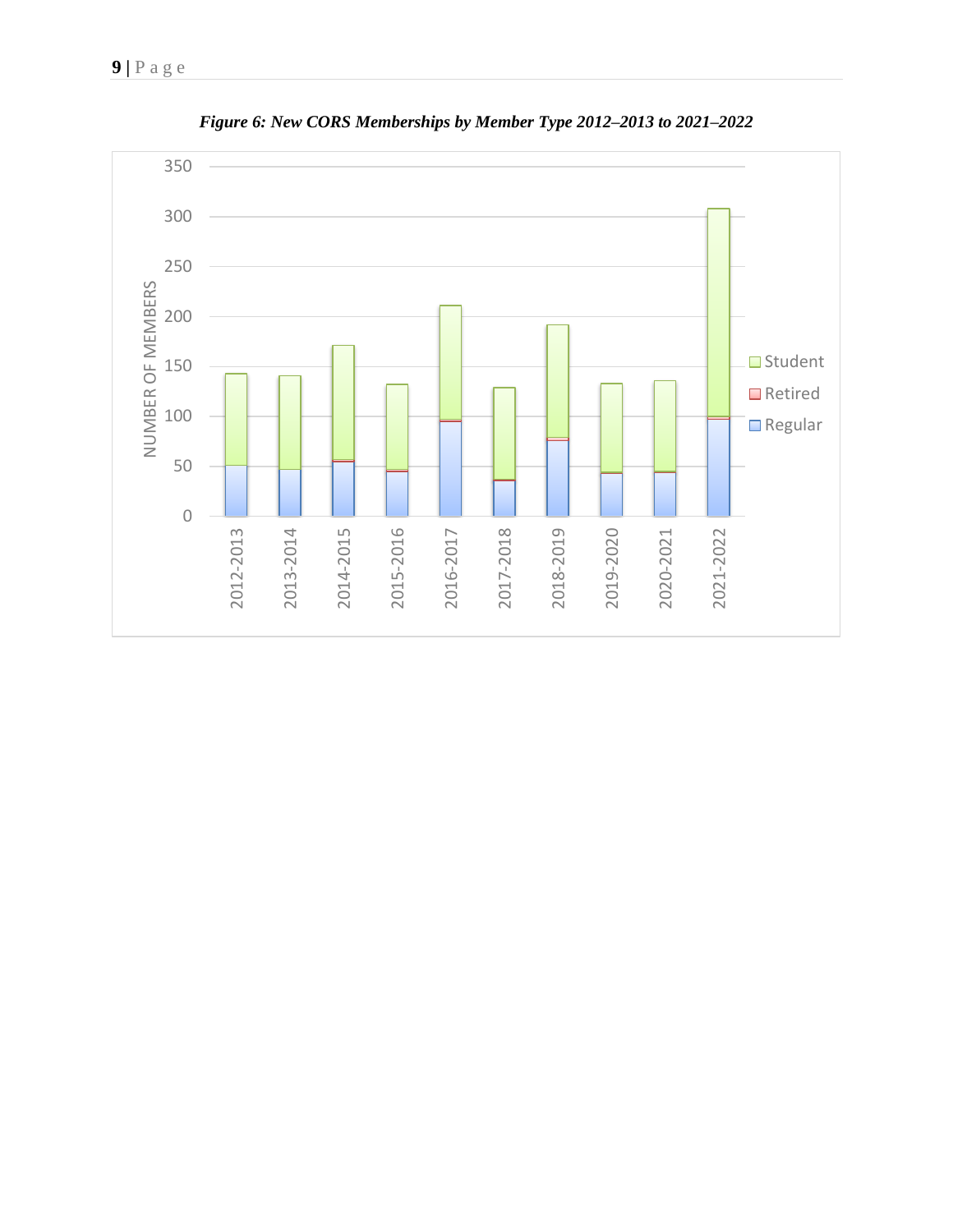

*Figure 6: New CORS Memberships by Member Type 2012–2013 to 2021–2022*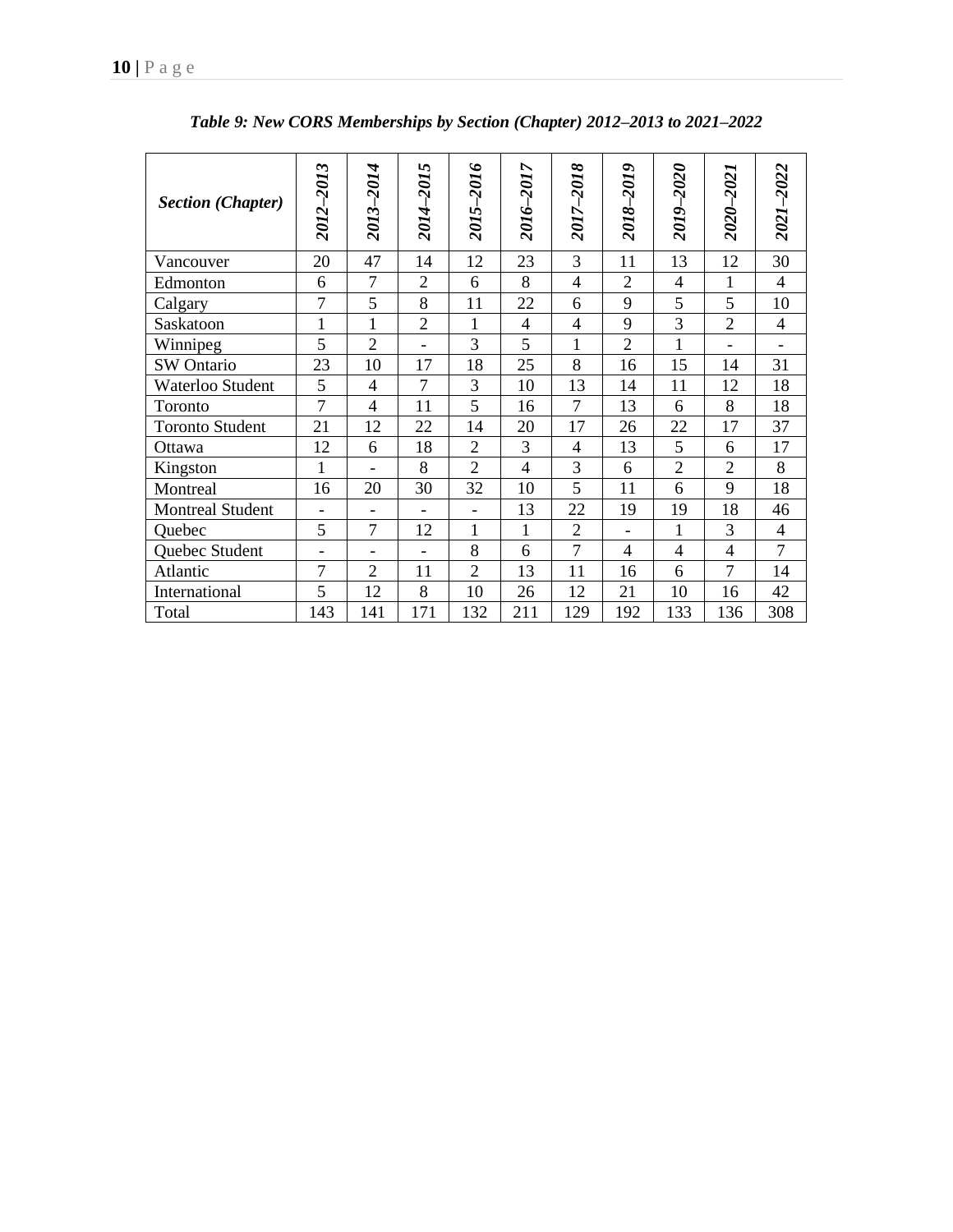| <b>Section (Chapter)</b> | 2012-2013                | 2013-2014                    | 5<br>2014-201                | $\bullet$<br>2015-201 | $\overline{ }$<br>2016-201 | 2017-2018      | 2018–2019      | 2019-2020      | 2020-2021      | 2021-2022                |
|--------------------------|--------------------------|------------------------------|------------------------------|-----------------------|----------------------------|----------------|----------------|----------------|----------------|--------------------------|
| Vancouver                | 20                       | 47                           | 14                           | 12                    | 23                         | 3              | 11             | 13             | 12             | 30                       |
| Edmonton                 | 6                        | $\overline{7}$               | $\overline{2}$               | 6                     | 8                          | 4              | $\overline{2}$ | 4              | $\mathbf{1}$   | 4                        |
| Calgary                  | $\overline{7}$           | 5                            | 8                            | 11                    | 22                         | 6              | 9              | 5              | 5              | 10                       |
| Saskatoon                | $\mathbf 1$              | 1                            | $\overline{2}$               | 1                     | $\overline{4}$             | 4              | 9              | 3              | $\overline{2}$ | $\overline{\mathcal{L}}$ |
| Winnipeg                 | 5                        | $\overline{2}$               |                              | 3                     | 5                          | 1              | $\overline{2}$ | 1              |                |                          |
| <b>SW</b> Ontario        | 23                       | 10                           | 17                           | 18                    | 25                         | 8              | 16             | 15             | 14             | 31                       |
| Waterloo Student         | 5                        | $\overline{4}$               | 7                            | 3                     | 10                         | 13             | 14             | 11             | 12             | 18                       |
| Toronto                  | $\overline{7}$           | 4                            | 11                           | 5                     | 16                         | $\overline{7}$ | 13             | 6              | 8              | 18                       |
| <b>Toronto Student</b>   | 21                       | 12                           | 22                           | 14                    | 20                         | 17             | 26             | 22             | 17             | 37                       |
| Ottawa                   | 12                       | 6                            | 18                           | $\overline{2}$        | 3                          | 4              | 13             | 5              | 6              | 17                       |
| Kingston                 | $\mathbf{1}$             | $\qquad \qquad \blacksquare$ | 8                            | $\overline{2}$        | $\overline{4}$             | 3              | 6              | $\overline{2}$ | $\overline{2}$ | 8                        |
| Montreal                 | 16                       | 20                           | 30                           | 32                    | 10                         | 5              | 11             | 6              | 9              | 18                       |
| <b>Montreal Student</b>  |                          |                              |                              | $\blacksquare$        | 13                         | 22             | 19             | 19             | 18             | 46                       |
| Quebec                   | 5                        | $\overline{7}$               | 12                           | 1                     | $\mathbf{1}$               | $\overline{2}$ |                | 1              | 3              | $\overline{\mathcal{A}}$ |
| Quebec Student           | $\overline{\phantom{a}}$ | $\qquad \qquad \blacksquare$ | $\qquad \qquad \blacksquare$ | 8                     | 6                          | 7              | 4              | $\overline{4}$ | $\overline{4}$ | 7                        |
| Atlantic                 | 7                        | $\overline{2}$               | 11                           | $\overline{2}$        | 13                         | 11             | 16             | 6              | 7              | 14                       |
| International            | 5                        | 12                           | 8                            | 10                    | 26                         | 12             | 21             | 10             | 16             | 42                       |
| Total                    | 143                      | 141                          | 171                          | 132                   | 211                        | 129            | 192            | 133            | 136            | 308                      |

*Table 9: New CORS Memberships by Section (Chapter) 2012–2013 to 2021–2022*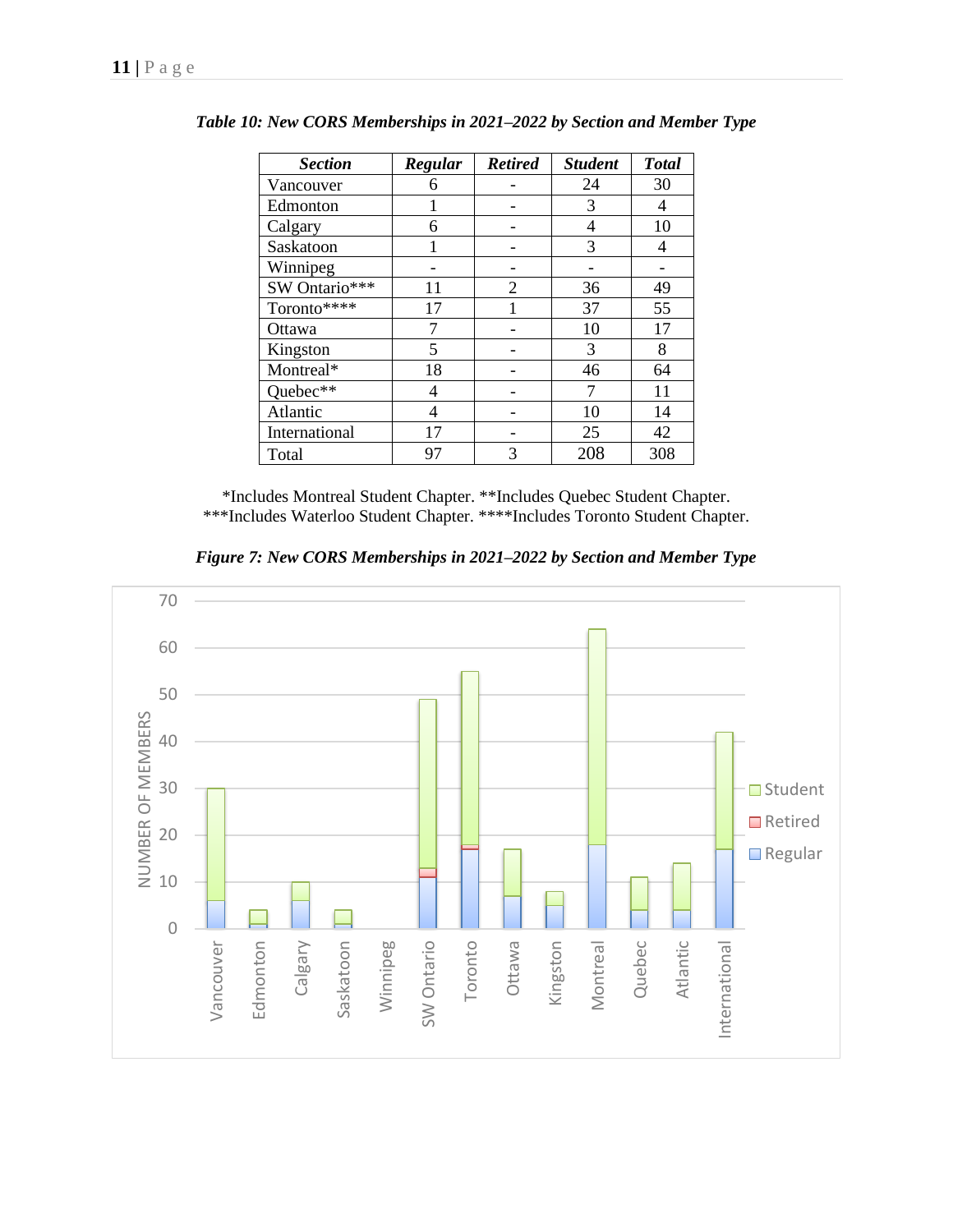| <b>Section</b> | Regular | <b>Retired</b> | <b>Student</b> | <b>Total</b> |
|----------------|---------|----------------|----------------|--------------|
| Vancouver      | 6       |                | 24             | 30           |
| Edmonton       |         |                | 3              | 4            |
| Calgary        | 6       |                | 4              | 10           |
| Saskatoon      |         |                | 3              | 4            |
| Winnipeg       |         |                |                |              |
| SW Ontario***  | 11      | $\overline{2}$ | 36             | 49           |
| Toronto****    | 17      |                | 37             | 55           |
| Ottawa         | 7       |                | 10             | 17           |
| Kingston       | 5       |                | 3              | 8            |
| Montreal*      | 18      |                | 46             | 64           |
| Quebec**       | 4       |                | 7              | 11           |
| Atlantic       | 4       |                | 10             | 14           |
| International  | 17      |                | 25             | 42           |
| Total          | 97      | 3              | 208            | 308          |

*Table 10: New CORS Memberships in 2021***–***2022 by Section and Member Type*

\*Includes Montreal Student Chapter. \*\*Includes Quebec Student Chapter. \*\*\*Includes Waterloo Student Chapter. \*\*\*\*Includes Toronto Student Chapter.

*Figure 7: New CORS Memberships in 2021***–***2022 by Section and Member Type*

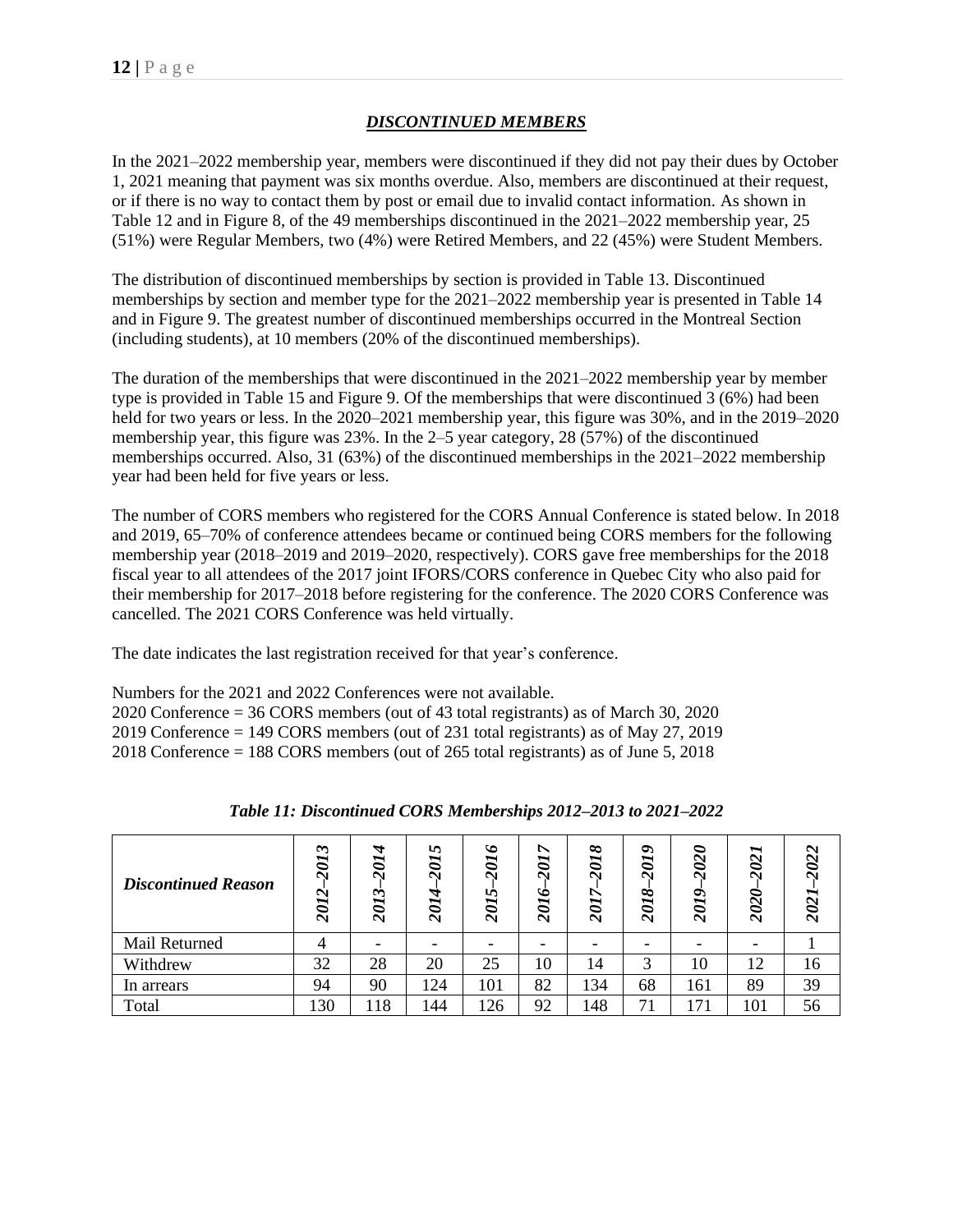# *DISCONTINUED MEMBERS*

In the 2021–2022 membership year, members were discontinued if they did not pay their dues by October 1, 2021 meaning that payment was six months overdue. Also, members are discontinued at their request, or if there is no way to contact them by post or email due to invalid contact information. As shown in Table 12 and in Figure 8, of the 49 memberships discontinued in the 2021–2022 membership year, 25 (51%) were Regular Members, two (4%) were Retired Members, and 22 (45%) were Student Members.

The distribution of discontinued memberships by section is provided in Table 13. Discontinued memberships by section and member type for the 2021–2022 membership year is presented in Table 14 and in Figure 9. The greatest number of discontinued memberships occurred in the Montreal Section (including students), at 10 members (20% of the discontinued memberships).

The duration of the memberships that were discontinued in the 2021–2022 membership year by member type is provided in Table 15 and Figure 9. Of the memberships that were discontinued 3 (6%) had been held for two years or less. In the 2020–2021 membership year, this figure was 30%, and in the 2019–2020 membership year, this figure was 23%. In the 2–5 year category, 28 (57%) of the discontinued memberships occurred. Also, 31 (63%) of the discontinued memberships in the 2021–2022 membership year had been held for five years or less.

The number of CORS members who registered for the CORS Annual Conference is stated below. In 2018 and 2019, 65–70% of conference attendees became or continued being CORS members for the following membership year (2018–2019 and 2019–2020, respectively). CORS gave free memberships for the 2018 fiscal year to all attendees of the 2017 joint IFORS/CORS conference in Quebec City who also paid for their membership for 2017–2018 before registering for the conference. The 2020 CORS Conference was cancelled. The 2021 CORS Conference was held virtually.

The date indicates the last registration received for that year's conference.

Numbers for the 2021 and 2022 Conferences were not available. 2020 Conference = 36 CORS members (out of 43 total registrants) as of March 30, 2020 2019 Conference = 149 CORS members (out of 231 total registrants) as of May 27, 2019 2018 Conference = 188 CORS members (out of 265 total registrants) as of June 5, 2018

| <b>Discontinued Reason</b> | $\tilde{ }$<br><b>201</b><br>$\boldsymbol{\sim}$<br>201 | A<br>$\vec{v}$<br>$\sim$<br>$\tilde{\phantom{0}}$<br><b>201</b> | ↜<br>$\overline{\mathcal{C}}$<br>٣<br>$\tilde{o}$<br>$\mathbf{\bar{\sim}}$ | ৩<br>201<br>n<br>$\tilde{a}$<br>$\mathbf{\bar{c}}$ | ↖<br><b>201</b><br>2016 | ∞<br>201<br>↖<br>20I. | $\bullet$<br>$\overline{\bm{c}}$<br>$\bar{\mathbf{c}}$<br>∞<br>$\overline{\mathcal{O}}$<br>$\mathbf{\bar{\sim}}$ | ∘<br>202<br>2019 | $\mathbf{\mathcal{Z}}$<br>2021 | 202.<br>202 |
|----------------------------|---------------------------------------------------------|-----------------------------------------------------------------|----------------------------------------------------------------------------|----------------------------------------------------|-------------------------|-----------------------|------------------------------------------------------------------------------------------------------------------|------------------|--------------------------------|-------------|
| Mail Returned              |                                                         |                                                                 |                                                                            |                                                    |                         |                       |                                                                                                                  |                  |                                |             |
| Withdrew                   | 32                                                      | 28                                                              | 20                                                                         | 25                                                 | 10                      | 14                    | ⌒                                                                                                                | 10               | 12                             | 16          |
| In arrears                 | 94                                                      | 90                                                              | 124                                                                        | 101                                                | 82                      | 134                   | 68                                                                                                               | 161              | 89                             | 39          |
| Total                      | 130                                                     | 118                                                             | 144                                                                        | 126                                                | 92                      | 148                   | 71                                                                                                               | 171              | 101                            | 56          |

| Table 11: Discontinued CORS Memberships 2012-2013 to 2021-2022 |  |
|----------------------------------------------------------------|--|
|----------------------------------------------------------------|--|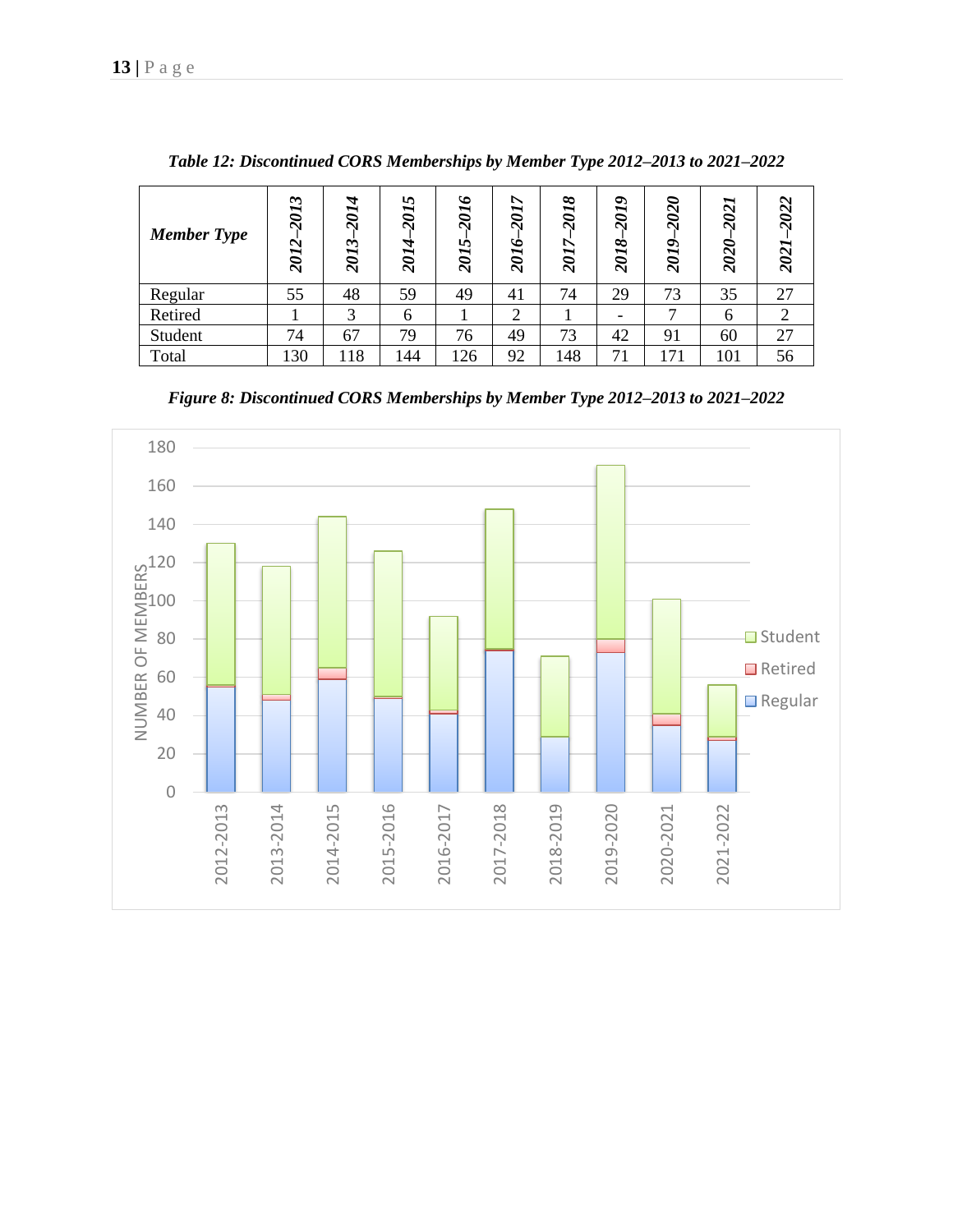| <b>Member Type</b> | $\mathbf{\hat{z}}$<br>201<br>$\boldsymbol{\sim}$<br>201 | 2014<br>$\ddot{\phantom{1}}$<br>201 | ৸<br>201.<br>$\overline{a}$<br>201 | $\bullet$<br>201<br>v,<br>201 | $\breve{~}$<br><b>107</b><br>$\ddot{\circ}$<br>201 | 2018<br>v.<br><b>10Z</b> | ヘ<br>$\overline{\mathfrak{d}}$<br>$\bar{\mathbf{c}}$<br>∞<br>$\overline{\mathcal{U}}$<br>$\bar{\mathbf{c}}$ | 020<br>$\bar{\mathbf{c}}$<br>$\bullet$<br>$\overline{\mathfrak{d}}$<br>$\bar{\mathbf{c}}$ | 2021<br>202 | $\sim$<br>202<br>202 |
|--------------------|---------------------------------------------------------|-------------------------------------|------------------------------------|-------------------------------|----------------------------------------------------|--------------------------|-------------------------------------------------------------------------------------------------------------|-------------------------------------------------------------------------------------------|-------------|----------------------|
| Regular            | 55                                                      | 48                                  | 59                                 | 49                            | 41                                                 | 74                       | 29                                                                                                          | 73                                                                                        | 35          | 27                   |
| Retired            |                                                         | 3                                   | 6                                  |                               | ⌒                                                  |                          |                                                                                                             |                                                                                           | 6           |                      |
| Student            | 74                                                      | 67                                  | 79                                 | 76                            | 49                                                 | 73                       | 42                                                                                                          | 91                                                                                        | 60          | 27                   |
| Total              | 130                                                     | 18                                  | 144                                | 126                           | 92                                                 | 148                      | 71                                                                                                          | 171                                                                                       | 101         | 56                   |

*Table 12: Discontinued CORS Memberships by Member Type 2012–2013 to 2021–2022*

*Figure 8: Discontinued CORS Memberships by Member Type 2012–2013 to 2021–2022*

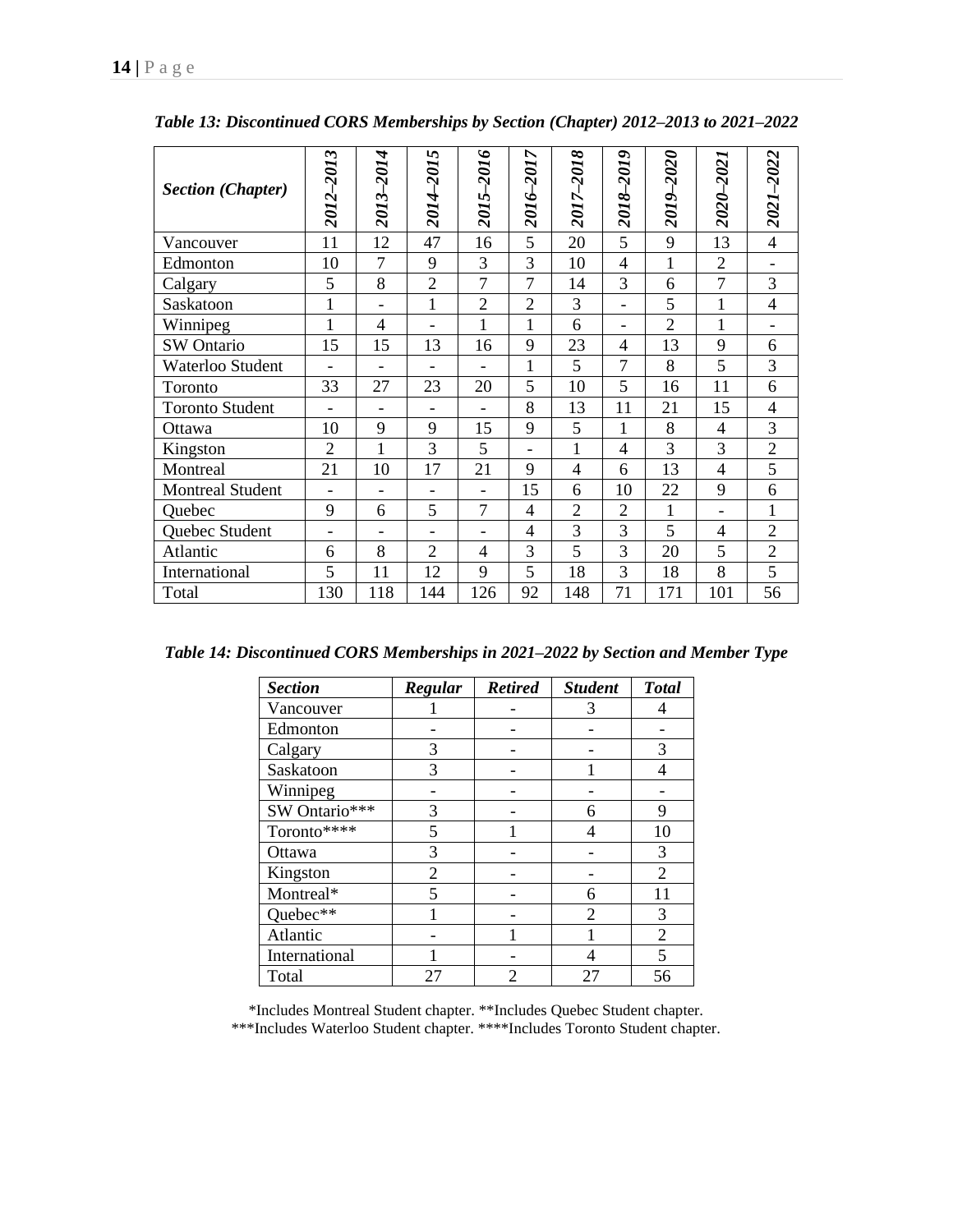| <b>Section (Chapter)</b> | 2012–2013                | 2013-2014                | 2014-2015                    | 2015-2016                    | 2016–2017      | 2017-2018      | 2018-2019                | 2019-2020      | 2020–2021      | 2021-2022      |
|--------------------------|--------------------------|--------------------------|------------------------------|------------------------------|----------------|----------------|--------------------------|----------------|----------------|----------------|
| Vancouver                | 11                       | 12                       | 47                           | 16                           | 5              | 20             | 5                        | 9              | 13             | $\overline{4}$ |
| Edmonton                 | 10                       | $\overline{7}$           | 9                            | 3                            | 3              | 10             | $\overline{4}$           | $\mathbf{1}$   | $\overline{2}$ |                |
| Calgary                  | 5                        | 8                        | $\overline{2}$               | $\overline{7}$               | $\overline{7}$ | 14             | 3                        | 6              | $\overline{7}$ | 3              |
| Saskatoon                | $\mathbf{1}$             |                          | $\mathbf{1}$                 | $\overline{2}$               | $\overline{2}$ | 3              | $\overline{\phantom{a}}$ | 5              | $\mathbf{1}$   | $\overline{4}$ |
| Winnipeg                 | $\mathbf{1}$             | $\overline{4}$           |                              | 1                            | $\mathbf{1}$   | 6              | $\overline{\phantom{a}}$ | $\overline{2}$ | 1              |                |
| SW Ontario               | 15                       | 15                       | 13                           | 16                           | 9              | 23             | 4                        | 13             | 9              | 6              |
| Waterloo Student         |                          |                          |                              |                              | $\mathbf{1}$   | 5              | 7                        | 8              | 5              | 3              |
| Toronto                  | 33                       | 27                       | 23                           | 20                           | 5              | 10             | 5                        | 16             | 11             | 6              |
| <b>Toronto Student</b>   | $\overline{\phantom{0}}$ | $\overline{\phantom{a}}$ | $\qquad \qquad \blacksquare$ | -                            | 8              | 13             | 11                       | 21             | 15             | $\overline{4}$ |
| Ottawa                   | 10                       | 9                        | 9                            | 15                           | 9              | 5              | 1                        | 8              | $\overline{4}$ | 3              |
| Kingston                 | $\overline{2}$           | $\mathbf{1}$             | 3                            | 5                            | -              | 1              | 4                        | 3              | 3              | $\overline{2}$ |
| Montreal                 | 21                       | 10                       | 17                           | 21                           | 9              | 4              | 6                        | 13             | 4              | 5              |
| <b>Montreal Student</b>  | $\overline{a}$           |                          | -                            | $\qquad \qquad \blacksquare$ | 15             | 6              | 10                       | 22             | 9              | 6              |
| Quebec                   | 9                        | 6                        | 5                            | 7                            | 4              | $\overline{2}$ | $\overline{2}$           | 1              | $\blacksquare$ | $\mathbf{1}$   |
| Quebec Student           | $\blacksquare$           |                          | $\overline{\phantom{0}}$     | ۰                            | 4              | 3              | 3                        | 5              | 4              | $\overline{2}$ |
| Atlantic                 | 6                        | 8                        | $\overline{2}$               | $\overline{4}$               | 3              | 5              | 3                        | 20             | 5              | $\overline{2}$ |
| International            | 5                        | 11                       | 12                           | 9                            | 5              | 18             | 3                        | 18             | 8              | 5              |
| Total                    | 130                      | 118                      | 144                          | 126                          | 92             | 148            | 71                       | 171            | 101            | 56             |

*Table 13: Discontinued CORS Memberships by Section (Chapter) 2012–2013 to 2021–2022*

*Table 14: Discontinued CORS Memberships in 2021***–***2022 by Section and Member Type*

| <b>Section</b> | Regular                  | <b>Retired</b> | <b>Student</b> | <b>Total</b>   |
|----------------|--------------------------|----------------|----------------|----------------|
| Vancouver      |                          |                |                |                |
| Edmonton       |                          |                |                |                |
| Calgary        | 3                        |                |                | 3              |
| Saskatoon      | 3                        |                |                | 4              |
| Winnipeg       |                          |                |                |                |
| SW Ontario***  | 3                        |                | 6              | 9              |
| Toronto****    | 5                        |                |                | 10             |
| Ottawa         | 3                        |                |                | 3              |
| Kingston       | 2                        |                |                | 2              |
| Montreal*      | $\overline{\mathcal{L}}$ |                | 6              | 11             |
| Quebec**       |                          |                | 2              | 3              |
| Atlantic       |                          |                |                | $\overline{c}$ |
| International  |                          |                |                | 5              |
| Total          | 27                       | 2              | 27             | 56             |

\*Includes Montreal Student chapter. \*\*Includes Quebec Student chapter.

\*\*\*Includes Waterloo Student chapter. \*\*\*\*Includes Toronto Student chapter.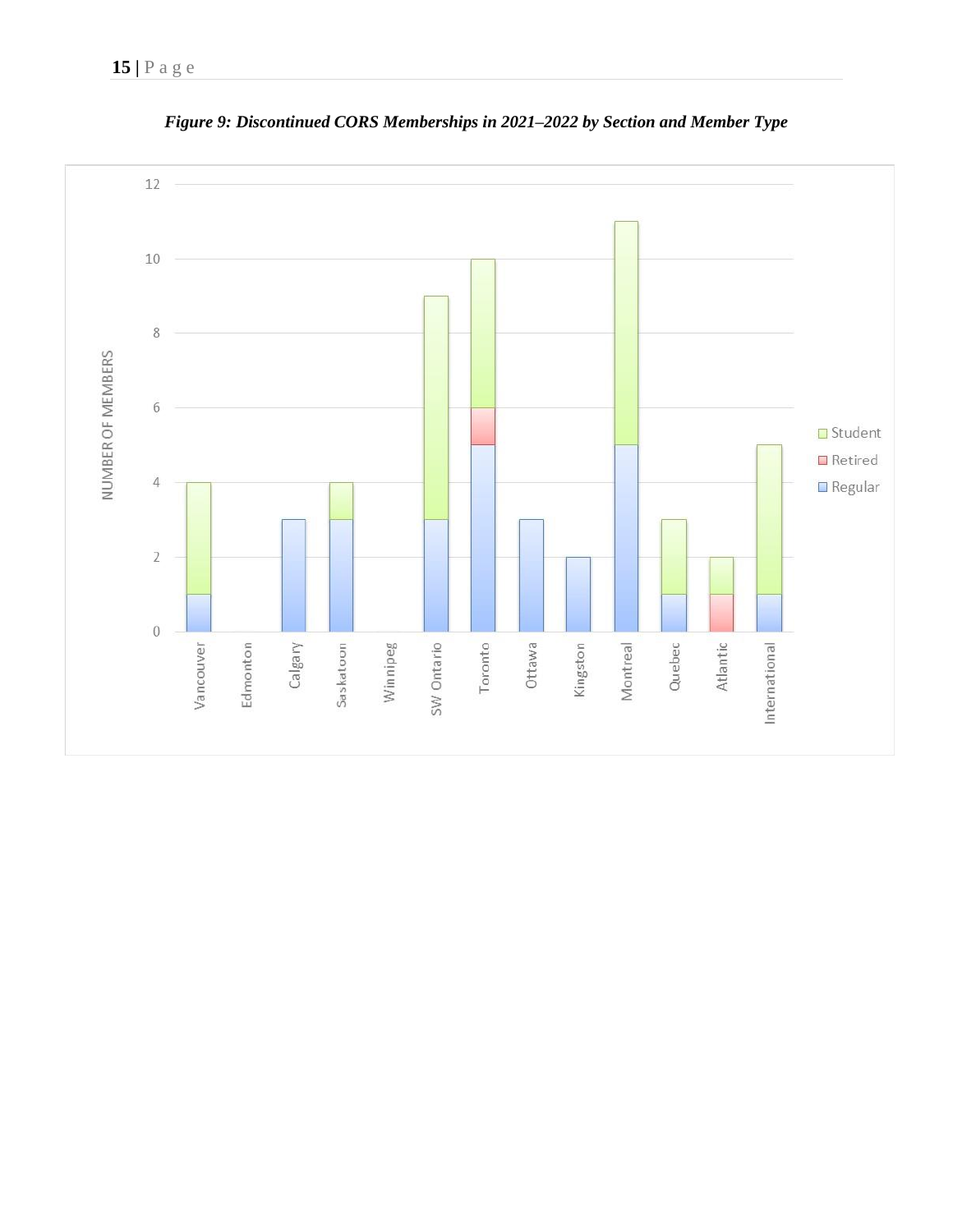

*Figure 9: Discontinued CORS Memberships in 2021***–***2022 by Section and Member Type*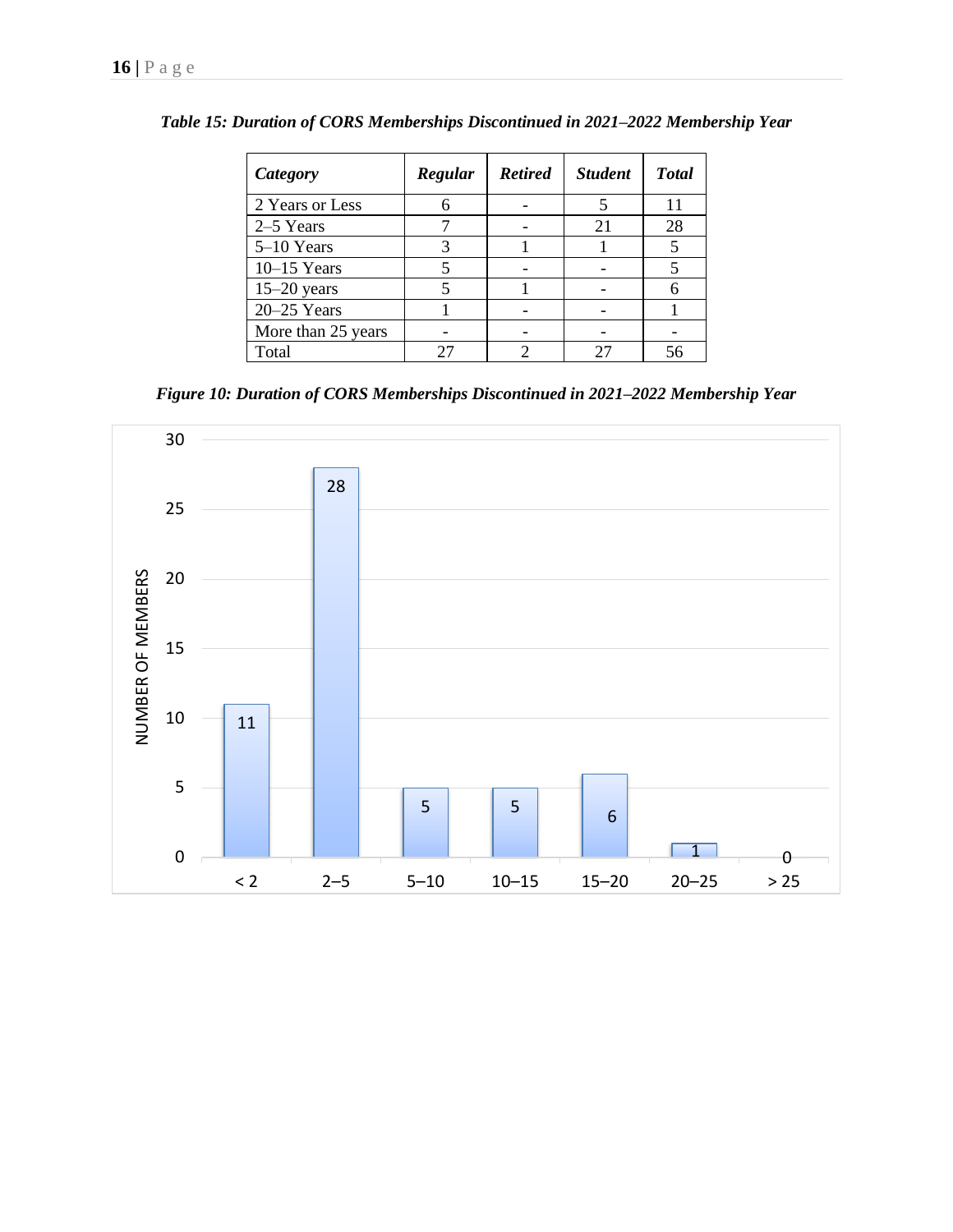| Category           | Regular | <b>Retired</b> | <b>Student</b> | <b>Total</b> |
|--------------------|---------|----------------|----------------|--------------|
| 2 Years or Less    |         |                |                | 11           |
| 2–5 Years          |         |                | 21             | 28           |
| 5-10 Years         |         |                |                |              |
| $10-15$ Years      |         |                |                |              |
| $15-20$ years      |         |                |                |              |
| $20 - 25$ Years    |         |                |                |              |
| More than 25 years |         |                |                |              |
| Total              |         |                |                |              |

*Table 15: Duration of CORS Memberships Discontinued in 2021***–***2022 Membership Year*

*Figure 10: Duration of CORS Memberships Discontinued in 2021–2022 Membership Year*

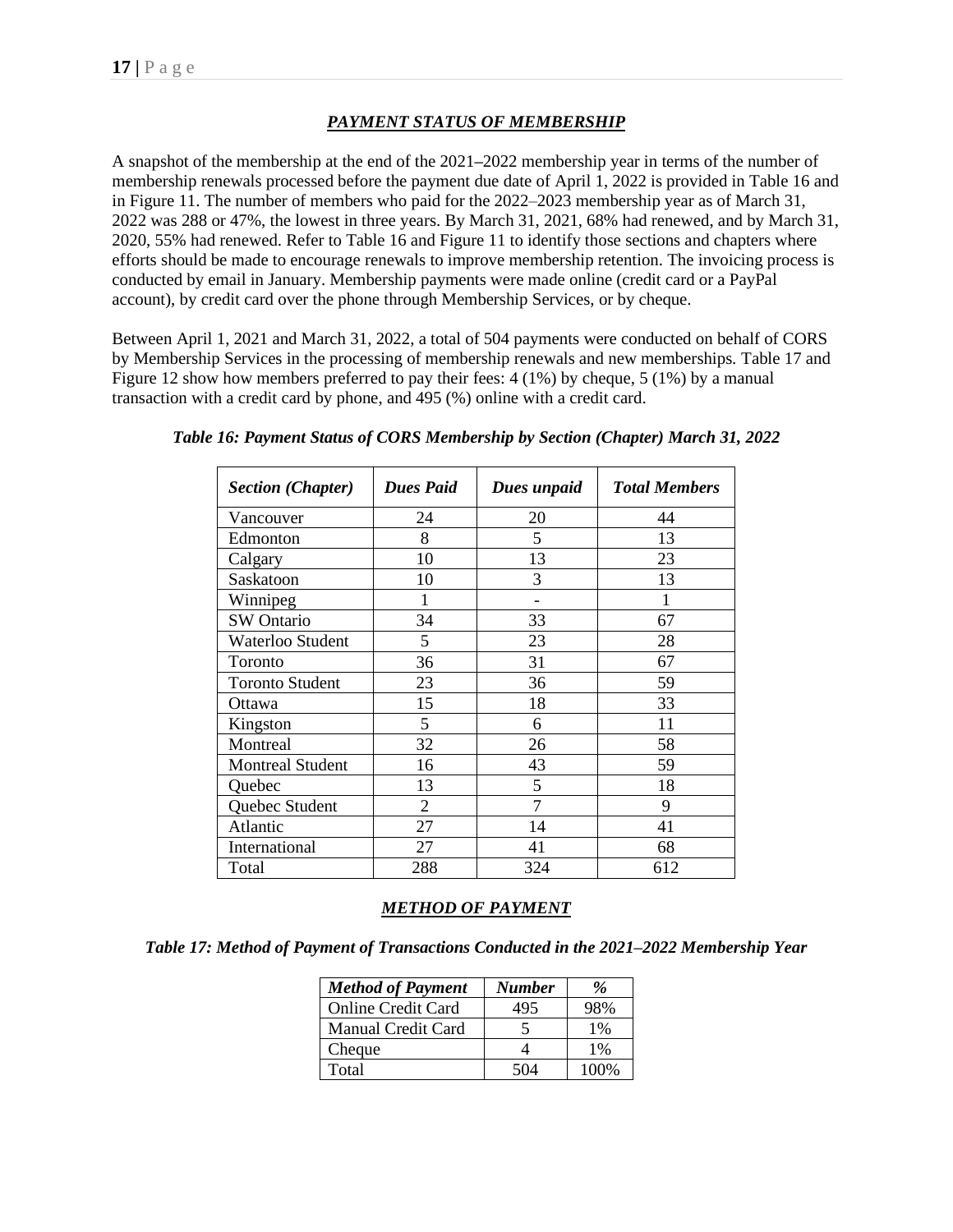# *PAYMENT STATUS OF MEMBERSHIP*

A snapshot of the membership at the end of the 2021**–**2022 membership year in terms of the number of membership renewals processed before the payment due date of April 1, 2022 is provided in Table 16 and in Figure 11. The number of members who paid for the 2022–2023 membership year as of March 31, 2022 was 288 or 47%, the lowest in three years. By March 31, 2021, 68% had renewed, and by March 31, 2020, 55% had renewed. Refer to Table 16 and Figure 11 to identify those sections and chapters where efforts should be made to encourage renewals to improve membership retention. The invoicing process is conducted by email in January. Membership payments were made online (credit card or a PayPal account), by credit card over the phone through Membership Services, or by cheque.

Between April 1, 2021 and March 31, 2022, a total of 504 payments were conducted on behalf of CORS by Membership Services in the processing of membership renewals and new memberships. Table 17 and Figure 12 show how members preferred to pay their fees: 4 (1%) by cheque, 5 (1%) by a manual transaction with a credit card by phone, and 495 (%) online with a credit card.

| <b>Section (Chapter)</b> | <b>Dues Paid</b> | Dues unpaid | <b>Total Members</b> |
|--------------------------|------------------|-------------|----------------------|
| Vancouver                | 24               | 20          | 44                   |
| Edmonton                 | 8                | 5           | 13                   |
| Calgary                  | 10               | 13          | 23                   |
| Saskatoon                | 10               | 3           | 13                   |
| Winnipeg                 |                  |             |                      |
| <b>SW</b> Ontario        | 34               | 33          | 67                   |
| Waterloo Student         | 5                | 23          | 28                   |
| Toronto                  | 36               | 31          | 67                   |
| <b>Toronto Student</b>   | 23               | 36          | 59                   |
| Ottawa                   | 15               | 18          | 33                   |
| Kingston                 | 5                | 6           | 11                   |
| Montreal                 | 32               | 26          | 58                   |
| <b>Montreal Student</b>  | 16               | 43          | 59                   |
| Quebec                   | 13               | 5           | 18                   |
| Quebec Student           | $\overline{2}$   | 7           | 9                    |
| Atlantic                 | 27               | 14          | 41                   |
| International            | 27               | 41          | 68                   |
| Total                    | 288              | 324         | 612                  |

| Table 16: Payment Status of CORS Membership by Section (Chapter) March 31, 2022 |  |  |
|---------------------------------------------------------------------------------|--|--|
|                                                                                 |  |  |

# *METHOD OF PAYMENT*

| <b>Method of Payment</b>  | <b>Number</b> | $\%$     |
|---------------------------|---------------|----------|
| <b>Online Credit Card</b> | 495           | 98%      |
| Manual Credit Card        |               | $1\%$    |
| Cheque                    |               | $1\%$    |
| Total                     | 504           | $(10\%)$ |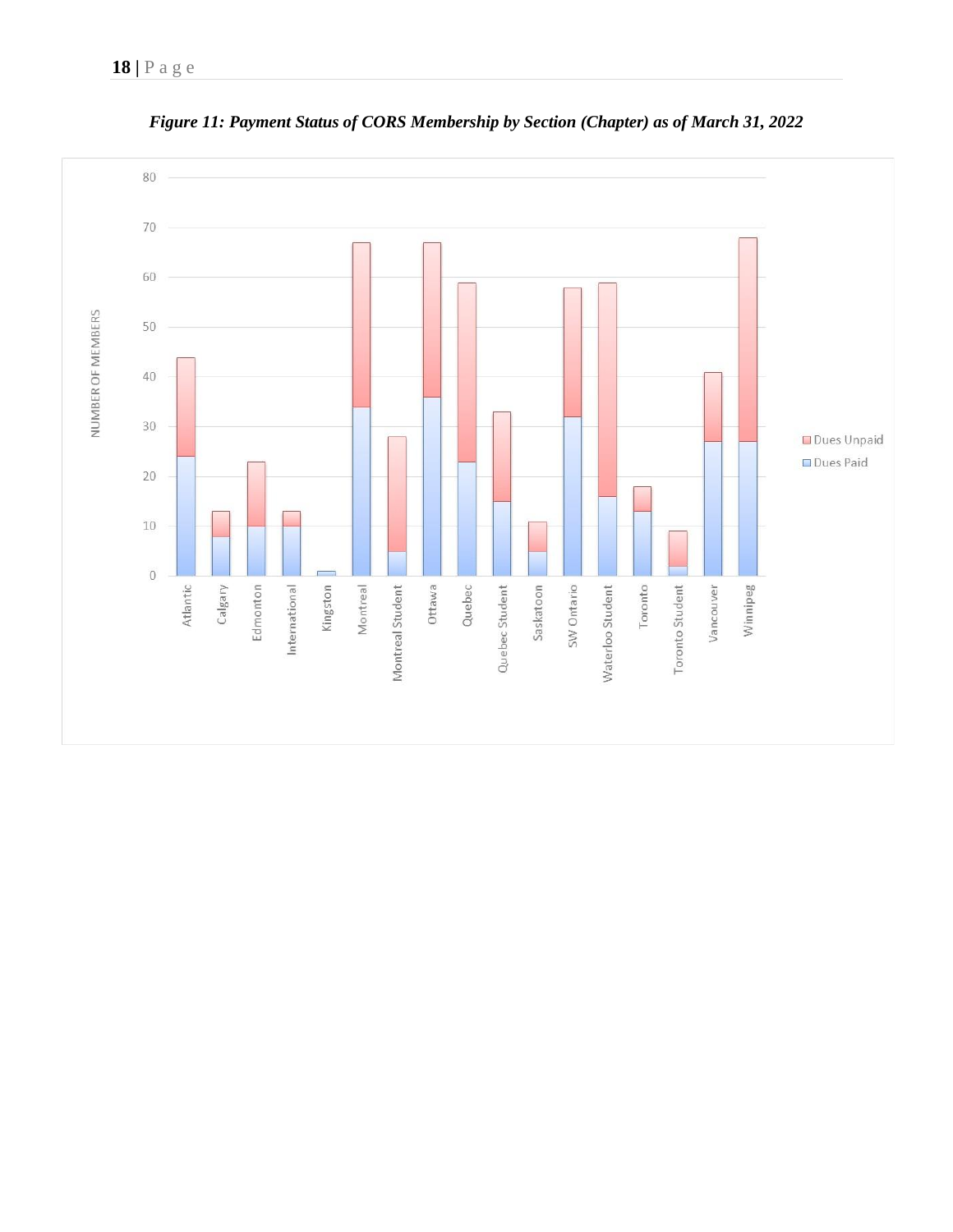